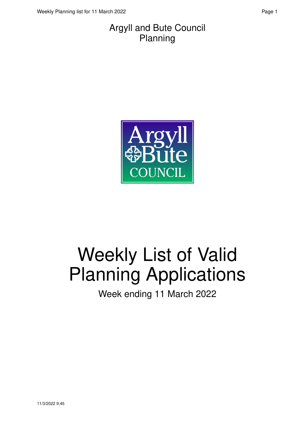#### Argyll and Bute Council Planning



# Weekly List of Valid Planning Applications

Week ending 11 March 2022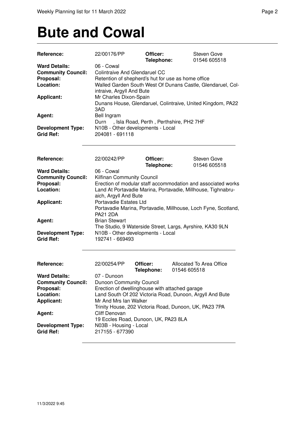### **Bute and Cowal**

| Reference:                | 22/00176/PP                                                 | Officer:                                | Steven Gove                                                    |
|---------------------------|-------------------------------------------------------------|-----------------------------------------|----------------------------------------------------------------|
|                           |                                                             | Telephone:                              | 01546 605518                                                   |
| <b>Ward Details:</b>      | 06 - Cowal                                                  |                                         |                                                                |
| <b>Community Council:</b> | <b>Colintraive And Glendaruel CC</b>                        |                                         |                                                                |
| Proposal:                 |                                                             |                                         | Retention of shepherd's hut for use as home office             |
| Location:                 | Walled Garden South West Of Dunans Castle, Glendaruel, Col- |                                         |                                                                |
|                           | intraive, Argyll And Bute                                   |                                         |                                                                |
| <b>Applicant:</b>         | Mr Charles Dixon-Spain                                      |                                         |                                                                |
|                           |                                                             |                                         | Dunans House, Glendaruel, Colintraive, United Kingdom, PA22    |
|                           | 3AD                                                         |                                         |                                                                |
| Agent:                    | Bell Ingram                                                 |                                         |                                                                |
|                           | Durn                                                        | , Isla Road, Perth, Perthshire, PH2 7HF |                                                                |
| <b>Development Type:</b>  | N10B - Other developments - Local                           |                                         |                                                                |
| <b>Grid Ref:</b>          | 204081 - 691118                                             |                                         |                                                                |
|                           |                                                             |                                         |                                                                |
|                           |                                                             |                                         |                                                                |
|                           |                                                             |                                         |                                                                |
| Reference:                | 22/00242/PP                                                 | Officer:                                | <b>Steven Gove</b>                                             |
|                           |                                                             | Telephone:                              | 01546 605518                                                   |
| <b>Ward Details:</b>      | 06 - Cowal                                                  |                                         |                                                                |
| <b>Community Council:</b> | Kilfinan Community Council                                  |                                         |                                                                |
| Proposal:                 |                                                             |                                         | Erection of modular staff accommodation and associated works   |
| Location:                 |                                                             |                                         |                                                                |
|                           |                                                             |                                         | Land At Portavadie Marina, Portavadie, Millhouse, Tighnabru-   |
|                           | aich, Argyll And Bute                                       |                                         |                                                                |
| <b>Applicant:</b>         | Portavadie Estates Ltd                                      |                                         |                                                                |
|                           |                                                             |                                         | Portavadie Marina, Portavadie, Millhouse, Loch Fyne, Scotland, |
|                           | <b>PA21 2DA</b>                                             |                                         |                                                                |
| Agent:                    | <b>Brian Stewart</b>                                        |                                         |                                                                |
|                           |                                                             |                                         | The Studio, 9 Waterside Street, Largs, Ayrshire, KA30 9LN      |
| <b>Development Type:</b>  | N10B - Other developments - Local                           |                                         |                                                                |
| <b>Grid Ref:</b>          | 192741 - 669493                                             |                                         |                                                                |
|                           |                                                             |                                         |                                                                |
|                           |                                                             |                                         |                                                                |
|                           |                                                             |                                         |                                                                |
| Reference:                | 22/00254/PP                                                 | Officer:                                | Allocated To Area Office                                       |
|                           |                                                             | Telephone:                              | 01546 605518                                                   |
| <b>Ward Details:</b>      | 07 - Dunoon                                                 |                                         |                                                                |
| <b>Community Council:</b> | Dunoon Community Council                                    |                                         |                                                                |
| Proposal:                 | Erection of dwellinghouse with attached garage              |                                         |                                                                |
| Location:                 |                                                             |                                         | Land South Of 202 Victoria Road, Dunoon, Argyll And Bute       |
| <b>Applicant:</b>         | Mr And Mrs Ian Walker                                       |                                         |                                                                |
|                           |                                                             |                                         | Trinity House, 202 Victoria Road, Dunoon, UK, PA23 7PA         |
| Agent:                    | Cliff Denovan                                               |                                         |                                                                |
|                           | 19 Eccles Road, Dunoon, UK, PA23 8LA                        |                                         |                                                                |
| <b>Development Type:</b>  | N03B - Housing - Local                                      |                                         |                                                                |
| <b>Grid Ref:</b>          | 217155 - 677390                                             |                                         |                                                                |
|                           |                                                             |                                         |                                                                |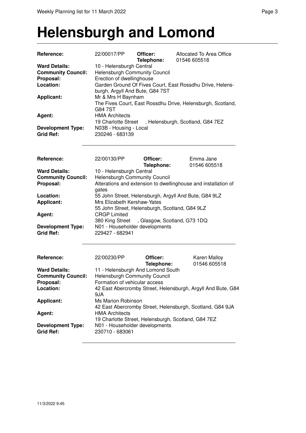#### **Helensburgh and Lomond**

| Reference:<br><b>Ward Details:</b>                                       | 22/00017/PP                                                                                                                                                                                                                                                                           | Officer:<br>Telephone: | Allocated To Area Office<br>01546 605518                     |  |
|--------------------------------------------------------------------------|---------------------------------------------------------------------------------------------------------------------------------------------------------------------------------------------------------------------------------------------------------------------------------------|------------------------|--------------------------------------------------------------|--|
| <b>Community Council:</b><br>Proposal:<br>Location:<br><b>Applicant:</b> | 10 - Helensburgh Central<br>Helensburgh Community Council<br>Erection of dwellinghouse<br>Garden Ground Of Fives Court, East Rossdhu Drive, Helens-<br>burgh, Argyll And Bute, G84 7ST<br>Mr & Mrs H Baynham                                                                          |                        |                                                              |  |
|                                                                          | G84 7ST                                                                                                                                                                                                                                                                               |                        | The Fives Court, East Rossdhu Drive, Helensburgh, Scotland,  |  |
| Agent:                                                                   | <b>HMA Architects</b>                                                                                                                                                                                                                                                                 |                        | 19 Charlotte Street, Helensburgh, Scotland, G84 7EZ          |  |
| <b>Development Type:</b><br><b>Grid Ref:</b>                             | N03B - Housing - Local<br>230246 - 683139                                                                                                                                                                                                                                             |                        |                                                              |  |
| Reference:                                                               | 22/00130/PP                                                                                                                                                                                                                                                                           | Officer:<br>Telephone: | Emma Jane<br>01546 605518                                    |  |
| <b>Ward Details:</b><br><b>Community Council:</b><br>Proposal:           | 10 - Helensburgh Central<br><b>Helensburgh Community Council</b><br>Alterations and extension to dwellinghouse and installation of<br>gates<br>55 John Street, Helensburgh, Argyll And Bute, G84 9LZ<br>Mrs Elizabeth Kershaw-Yates<br>55 John Street, Helensburgh, Scotland, G84 9LZ |                        |                                                              |  |
| Location:<br>Applicant:                                                  |                                                                                                                                                                                                                                                                                       |                        |                                                              |  |
| Agent:                                                                   | <b>CRGP Limited</b><br>380 King Street, Glasgow, Scotland, G73 1DQ                                                                                                                                                                                                                    |                        |                                                              |  |
| <b>Development Type:</b><br><b>Grid Ref:</b>                             | N01 - Householder developments<br>229427 - 682941                                                                                                                                                                                                                                     |                        |                                                              |  |
| <b>Reference:</b>                                                        | 22/00230/PP                                                                                                                                                                                                                                                                           | Officer:<br>Telephone: | Karen Malloy<br>01546 605518                                 |  |
| <b>Ward Details:</b><br><b>Community Council:</b>                        | 11 - Helensburgh And Lomond South<br><b>Helensburgh Community Council</b>                                                                                                                                                                                                             |                        |                                                              |  |
| Proposal:<br>Location:                                                   | Formation of vehicular access<br>9JA                                                                                                                                                                                                                                                  |                        | 42 East Abercromby Street, Helensburgh, Argyll And Bute, G84 |  |
| <b>Applicant:</b>                                                        | Ms Marion Robinson                                                                                                                                                                                                                                                                    |                        | 42 East Abercromby Street, Helensburgh, Scotland, G84 9JA    |  |
| Agent:                                                                   | <b>HMA Architects</b>                                                                                                                                                                                                                                                                 |                        | 19 Charlotte Street, Helensburgh, Scotland, G84 7EZ          |  |
| <b>Development Type:</b><br><b>Grid Ref:</b>                             | N01 - Householder developments<br>230710 - 683061                                                                                                                                                                                                                                     |                        |                                                              |  |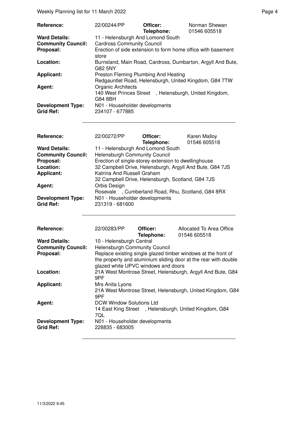| <b>Reference:</b>                            | 22/00244/PP                                                                                    | Officer:<br>Telephone: | Norman Shewan<br>01546 605518 |
|----------------------------------------------|------------------------------------------------------------------------------------------------|------------------------|-------------------------------|
| <b>Ward Details:</b>                         | 11 - Helensburgh And Lomond South                                                              |                        |                               |
| <b>Community Council:</b>                    | <b>Cardross Community Council</b>                                                              |                        |                               |
| Proposal:                                    | Erection of side extension to form home office with basement<br>store                          |                        |                               |
| Location:                                    | Burnsland, Main Road, Cardross, Dumbarton, Argyll And Bute,<br>G82 5NY                         |                        |                               |
| Applicant:                                   | Preston Fleming Plumbing And Heating<br>Redgauntlet Road, Helensburgh, United Kingdom, G84 7TW |                        |                               |
| Agent:                                       | <b>Organic Architects</b><br>140 West Princes Street, Helensburgh, United Kingdom,<br>G84 8BH  |                        |                               |
| <b>Development Type:</b><br><b>Grid Ref:</b> | N01 - Householder developments<br>234107 - 677885                                              |                        |                               |

| Reference:                | 22/00272/PP                                              | Officer:   | <b>Karen Malloy</b> |
|---------------------------|----------------------------------------------------------|------------|---------------------|
|                           |                                                          | Telephone: | 01546 605518        |
| <b>Ward Details:</b>      | 11 - Helensburgh And Lomond South                        |            |                     |
| <b>Community Council:</b> | <b>Helensburgh Community Council</b>                     |            |                     |
| Proposal:                 | Erection of single-storey extension to dwellinghouse     |            |                     |
| Location:                 | 32 Campbell Drive, Helensburgh, Argyll And Bute, G84 7JS |            |                     |
| <b>Applicant:</b>         | Katrina And Russell Graham                               |            |                     |
|                           | 32 Campbell Drive, Helensburgh, Scotland, G84 7JS        |            |                     |
| Agent:                    | Orbis Design                                             |            |                     |
|                           | Rosevale, Cumberland Road, Rhu, Scotland, G84 8RX        |            |                     |
| <b>Development Type:</b>  | N01 - Householder developments                           |            |                     |
| <b>Grid Ref:</b>          | 231319 - 681600                                          |            |                     |

| <b>Reference:</b>                            | 22/00283/PP                                       | Officer:<br>Telephone: | Allocated To Area Office<br>01546 605518                                                                                         |
|----------------------------------------------|---------------------------------------------------|------------------------|----------------------------------------------------------------------------------------------------------------------------------|
| <b>Ward Details:</b>                         | 10 - Helensburgh Central                          |                        |                                                                                                                                  |
| <b>Community Council:</b>                    | Helensburgh Community Council                     |                        |                                                                                                                                  |
| Proposal:                                    | glazed white UPVC windows and doors               |                        | Replace existing single glazed timber windows at the front of<br>the property and aluminium sliding door at the rear with double |
| Location:                                    | 9PF                                               |                        | 21A West Montrose Street, Helensburgh, Argyll And Bute, G84                                                                      |
| <b>Applicant:</b>                            | Mrs Anita Lyons<br>9PF                            |                        | 21A West Montrose Street, Helensburgh, United Kingdom, G84                                                                       |
| Agent:                                       | DCW Window Solutions Ltd<br>7QL                   |                        | 14 East King Street, Helensburgh, United Kingdom, G84                                                                            |
| <b>Development Type:</b><br><b>Grid Ref:</b> | N01 - Householder developments<br>228835 - 683005 |                        |                                                                                                                                  |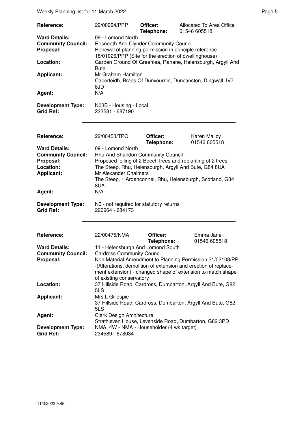| Reference:                                                                                                 | 22/00294/PPP                                                                                                                                                                                                                                                                                                                                                 | Officer:<br>Telephone: | Allocated To Area Office<br>01546 605518                                                                                                                                                                                 |
|------------------------------------------------------------------------------------------------------------|--------------------------------------------------------------------------------------------------------------------------------------------------------------------------------------------------------------------------------------------------------------------------------------------------------------------------------------------------------------|------------------------|--------------------------------------------------------------------------------------------------------------------------------------------------------------------------------------------------------------------------|
| <b>Ward Details:</b><br><b>Community Council:</b><br>Proposal:<br>Location:<br><b>Applicant:</b><br>Agent: | 09 - Lomond North<br>Rosneath And Clynder Community Council<br>Renewal of planning permission in principle reference<br>18/01026/PPP (Site for the erection of dwellinghouse)<br>Garden Ground Of Greenlea, Rahane, Helensburgh, Argyll And<br><b>Bute</b><br>Mr Graham Hamilton<br>Caberfeidh, Braes Of Dunvournie, Duncanston, Dingwall, IV7<br>8JD<br>N/A |                        |                                                                                                                                                                                                                          |
| <b>Development Type:</b><br><b>Grid Ref:</b>                                                               | N03B - Housing - Local<br>223581 - 687190                                                                                                                                                                                                                                                                                                                    |                        |                                                                                                                                                                                                                          |
| Reference:                                                                                                 | 22/00453/TPO                                                                                                                                                                                                                                                                                                                                                 | Officer:<br>Telephone: | Karen Malloy<br>01546 605518                                                                                                                                                                                             |
| <b>Ward Details:</b><br><b>Community Council:</b><br>Proposal:<br>Location:<br><b>Applicant:</b><br>Agent: | 09 - Lomond North<br>Rhu And Shandon Community Council<br>Mr Alexander Chalmers<br>8UA<br>N/A                                                                                                                                                                                                                                                                |                        | Proposed felling of 2 Beech trees and replanting of 2 trees<br>The Steep, Rhu, Helensburgh, Argyll And Bute, G84 8UA<br>The Steep, 1 Ardenconnel, Rhu, Helensburgh, Scotland, G84                                        |
| <b>Development Type:</b><br><b>Grid Ref:</b>                                                               | N0 - not required for statutory returns<br>226964 - 684173                                                                                                                                                                                                                                                                                                   |                        |                                                                                                                                                                                                                          |
| Reference:<br><b>Ward Details:</b><br><b>Community Council:</b><br>Proposal:                               | 22/00475/NMA<br>11 - Helensburgh And Lomond South<br><b>Cardross Community Council</b><br>of existing conservatory                                                                                                                                                                                                                                           | Officer:<br>Telephone: | Emma Jane<br>01546 605518<br>Non Material Amendment to Planning Permission 21/02108/PP<br>-(Alterations, demolition of extension and erection of replace-<br>ment extension) - changed shape of extension to match shape |
| Location:                                                                                                  | 5LS                                                                                                                                                                                                                                                                                                                                                          |                        | 37 Hillside Road, Cardross, Dumbarton, Argyll And Bute, G82                                                                                                                                                              |
| <b>Applicant:</b>                                                                                          | Mrs L Gillespie<br>5LS                                                                                                                                                                                                                                                                                                                                       |                        | 37 Hillside Road, Cardross, Dumbarton, Argyll And Bute, G82                                                                                                                                                              |
| Agent:<br><b>Development Type:</b><br><b>Grid Ref:</b>                                                     | Clark Design Architecture<br>NMA 4W - NMA - Householder (4 wk target)<br>234589 - 678034                                                                                                                                                                                                                                                                     |                        | Strathleven House, Levenside Road, Dumbarton, G82 3PD                                                                                                                                                                    |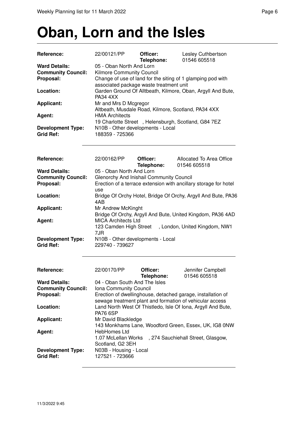# **Oban, Lorn and the Isles**

| <b>Reference:</b>                                              | 22/00121/PP                                                                                                                                              | Officer:<br>Telephone: | Lesley Cuthbertson<br>01546 605518       |  |
|----------------------------------------------------------------|----------------------------------------------------------------------------------------------------------------------------------------------------------|------------------------|------------------------------------------|--|
| <b>Ward Details:</b><br><b>Community Council:</b><br>Proposal: | 05 - Oban North And Lorn<br>Kilmore Community Council<br>Change of use of land for the siting of 1 glamping pod with                                     |                        |                                          |  |
| Location:                                                      | associated package waste treatment unit<br>Garden Ground Of Alltbeath, Kilmore, Oban, Argyll And Bute,<br><b>PA34 4XX</b>                                |                        |                                          |  |
| <b>Applicant:</b>                                              | Mr and Mrs D Mcgregor<br>Altbeath, Musdale Road, Kilmore, Scotland, PA34 4XX                                                                             |                        |                                          |  |
| Agent:                                                         | <b>HMA Architects</b><br>19 Charlotte Street, Helensburgh, Scotland, G84 7EZ<br>N10B - Other developments - Local<br>188359 - 725366                     |                        |                                          |  |
| <b>Development Type:</b><br><b>Grid Ref:</b>                   |                                                                                                                                                          |                        |                                          |  |
| Reference:                                                     | 22/00162/PP                                                                                                                                              | Officer:<br>Telephone: | Allocated To Area Office<br>01546 605518 |  |
| <b>Ward Details:</b>                                           | 05 - Oban North And Lorn                                                                                                                                 |                        |                                          |  |
| <b>Community Council:</b>                                      | Glenorchy And Inishail Community Council                                                                                                                 |                        |                                          |  |
| Proposal:                                                      | Erection of a terrace extension with ancillary storage for hotel<br>use                                                                                  |                        |                                          |  |
| Location:                                                      | Bridge Of Orchy Hotel, Bridge Of Orchy, Argyll And Bute, PA36<br>4AB                                                                                     |                        |                                          |  |
| <b>Applicant:</b>                                              | Mr Andrew McKinght                                                                                                                                       |                        |                                          |  |
| Agent:                                                         | Bridge Of Orchy, Argyll And Bute, United Kingdom, PA36 4AD<br><b>MICA Architects Ltd</b><br>123 Camden High Street, London, United Kingdom, NW1<br>7 ID. |                        |                                          |  |

|                          | 7.JR                                           |
|--------------------------|------------------------------------------------|
| <b>Development Type:</b> | N <sub>10</sub> B - Other developments - Local |
| Grid Ref:                | 229740 - 739627                                |

| <b>Reference:</b>         | 22/00170/PP                                               | Officer:<br>Telephone: | Jennifer Campbell<br>01546 605518                            |
|---------------------------|-----------------------------------------------------------|------------------------|--------------------------------------------------------------|
| <b>Ward Details:</b>      | 04 - Oban South And The Isles                             |                        |                                                              |
| <b>Community Council:</b> | Iona Community Council                                    |                        |                                                              |
| Proposal:                 |                                                           |                        | Erection of dwellinghouse, detached garage, installation of  |
|                           | sewage treatment plant and formation of vehicular access  |                        |                                                              |
| Location:                 |                                                           |                        | Land North West Of Thistledo, Isle Of Iona, Argyll And Bute, |
|                           | <b>PA76 6SP</b>                                           |                        |                                                              |
| <b>Applicant:</b>         | Mr David Blackledge                                       |                        |                                                              |
|                           |                                                           |                        | 143 Monkhams Lane, Woodford Green, Essex, UK, IG8 0NW        |
| Agent:                    | HebHomes Ltd                                              |                        |                                                              |
|                           | , 274 Sauchiehall Street, Glasgow,<br>1.07 McLellan Works |                        |                                                              |
|                           | Scotland, G2 3EH                                          |                        |                                                              |
| <b>Development Type:</b>  | N03B - Housing - Local                                    |                        |                                                              |
| <b>Grid Ref:</b>          | 127521 - 723666                                           |                        |                                                              |
|                           |                                                           |                        |                                                              |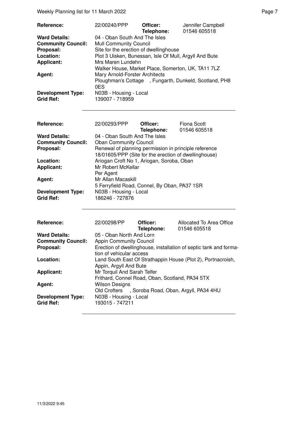| Reference:                | 22/00240/PPP                                           | Officer:   | Jennifer Campbell |
|---------------------------|--------------------------------------------------------|------------|-------------------|
|                           |                                                        | Telephone: | 01546 605518      |
| <b>Ward Details:</b>      | 04 - Oban South And The Isles                          |            |                   |
| <b>Community Council:</b> | <b>Mull Community Council</b>                          |            |                   |
| Proposal:                 | Site for the erection of dwellinghouse                 |            |                   |
| Location:                 | Plot 3 Uisken, Bunessan, Isle Of Mull, Argyll And Bute |            |                   |
| <b>Applicant:</b>         | Mrs Maren Lundehn                                      |            |                   |
|                           | Walker House, Market Place, Somerton, UK, TA11 7LZ     |            |                   |
| Agent:                    | Mary Arnold-Forster Architects                         |            |                   |
|                           | Ploughman's Cottage, Fungarth, Dunkeld, Scotland, PH8  |            |                   |
|                           | 0ES                                                    |            |                   |
| <b>Development Type:</b>  | N03B - Housing - Local                                 |            |                   |
| <b>Grid Ref:</b>          | 139007 - 718959                                        |            |                   |

| Reference:                | 22/00293/PPP                                                                                                   | Officer:<br>Telephone: | Fiona Scott<br>01546 605518 |
|---------------------------|----------------------------------------------------------------------------------------------------------------|------------------------|-----------------------------|
| <b>Ward Details:</b>      | 04 - Oban South And The Isles                                                                                  |                        |                             |
| <b>Community Council:</b> | <b>Oban Community Council</b>                                                                                  |                        |                             |
| Proposal:                 | Renewal of planning permission in principle reference<br>18/01605/PPP (Site for the erection of dwellinghouse) |                        |                             |
| Location:                 | Ariogan Croft No 1, Ariogan, Soroba, Oban                                                                      |                        |                             |
| <b>Applicant:</b>         | Mr Robert McKellar<br>Per Agent                                                                                |                        |                             |
| Agent:                    | Mr Allan Macaskill<br>5 Ferryfield Road, Connel, By Oban, PA37 1SR                                             |                        |                             |
| <b>Development Type:</b>  | N03B - Housing - Local                                                                                         |                        |                             |
| <b>Grid Ref:</b>          | 186246 - 727876                                                                                                |                        |                             |
|                           |                                                                                                                |                        |                             |

| Reference:                | 22/00298/PP                    | Officer:                                        | Allocated To Area Office                                          |
|---------------------------|--------------------------------|-------------------------------------------------|-------------------------------------------------------------------|
|                           |                                | Telephone:                                      | 01546 605518                                                      |
| <b>Ward Details:</b>      | 05 - Oban North And Lorn       |                                                 |                                                                   |
| <b>Community Council:</b> | <b>Appin Community Council</b> |                                                 |                                                                   |
| Proposal:                 |                                |                                                 | Erection of dwellinghouse, installation of septic tank and forma- |
|                           | tion of vehicular access       |                                                 |                                                                   |
| Location:                 |                                |                                                 | Land South East Of Strathappin House (Plot 2), Portnacroish,      |
|                           | Appin, Argyll And Bute         |                                                 |                                                                   |
| <b>Applicant:</b>         | Mr Torquil And Sarah Telfer    |                                                 |                                                                   |
|                           |                                | Frithard, Connel Road, Oban, Scotland, PA34 5TX |                                                                   |
| Agent:                    | Wilson Designs                 |                                                 |                                                                   |
|                           | Old Crofters                   |                                                 | , Soroba Road, Oban, Argyll, PA34 4HU                             |
| <b>Development Type:</b>  | N03B - Housing - Local         |                                                 |                                                                   |
| <b>Grid Ref:</b>          | 193015 - 747211                |                                                 |                                                                   |
|                           |                                |                                                 |                                                                   |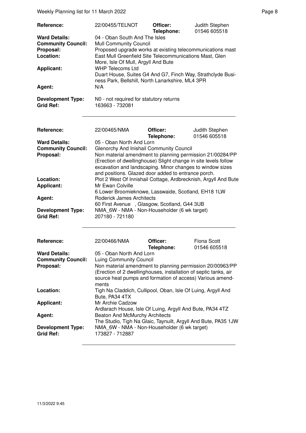Weekly Planning list for 11 March 2022 **Page 8** Page 8

| Reference:<br><b>Ward Details:</b><br><b>Community Council:</b><br>Proposal:<br>Location:<br><b>Applicant:</b><br>Agent:<br><b>Development Type:</b><br><b>Grid Ref:</b> | 22/00455/TELNOT<br>04 - Oban South And The Isles<br><b>Mull Community Council</b><br>Proposed upgrade works at existing telecommunications mast<br>East Mull Greenfield Site Telecommunications Mast, Glen<br>More, Isle Of Mull, Argyll And Bute<br><b>WHP Telecoms Ltd</b><br>Duart House, Suites G4 And G7, Finch Way, Strathclyde Busi-<br>ness Park, Bellshill, North Lanarkshire, ML4 3PR<br>N/A<br>N0 - not required for statutory returns<br>163663 - 732081 | Officer:<br>Telephone: | Judith Stephen<br>01546 605518     |
|--------------------------------------------------------------------------------------------------------------------------------------------------------------------------|----------------------------------------------------------------------------------------------------------------------------------------------------------------------------------------------------------------------------------------------------------------------------------------------------------------------------------------------------------------------------------------------------------------------------------------------------------------------|------------------------|------------------------------------|
|                                                                                                                                                                          |                                                                                                                                                                                                                                                                                                                                                                                                                                                                      |                        |                                    |
| Reference:                                                                                                                                                               | 22/00465/NMA                                                                                                                                                                                                                                                                                                                                                                                                                                                         | Officer:<br>Telephone: | Judith Stephen<br>01546 605518     |
| <b>Ward Details:</b><br><b>Community Council:</b><br>Proposal:                                                                                                           | 05 - Oban North And Lorn<br>Glenorchy And Inishail Community Council<br>Non material amendment to planning permission 21/00284/PP<br>(Erection of dwellinghouse) Slight change in site levels follow<br>excavation and landscaping. Minor changes to window sizes<br>and positions. Glazed door added to entrance porch.                                                                                                                                             |                        |                                    |
| Location:<br><b>Applicant:</b>                                                                                                                                           | Plot 2 West Of Innishail Cottage, Ardbrecknish, Argyll And Bute<br>Mr Ewan Colville<br>6 Lower Broomieknowe, Lasswaide, Scotland, EH18 1LW<br><b>Roderick James Architects</b><br>60 First Avenue, Glasgow, Scotland, G44 3UB<br>NMA_6W - NMA - Non-Householder (6 wk target)                                                                                                                                                                                        |                        |                                    |
| Agent:<br><b>Development Type:</b>                                                                                                                                       |                                                                                                                                                                                                                                                                                                                                                                                                                                                                      |                        |                                    |
| <b>Grid Ref:</b>                                                                                                                                                         | 207180 - 721180                                                                                                                                                                                                                                                                                                                                                                                                                                                      |                        |                                    |
| Reference:                                                                                                                                                               | 22/00466/NMA                                                                                                                                                                                                                                                                                                                                                                                                                                                         | Officer:<br>Telephone: | <b>Fiona Scott</b><br>01546 605518 |
| <b>Ward Details:</b>                                                                                                                                                     | 05 - Oban North And Lorn<br><b>Luing Community Council</b>                                                                                                                                                                                                                                                                                                                                                                                                           |                        |                                    |
| <b>Community Council:</b>                                                                                                                                                |                                                                                                                                                                                                                                                                                                                                                                                                                                                                      |                        |                                    |
| Proposal:                                                                                                                                                                | Non material amendment to planning permission 20/00963/PP<br>(Erection of 2 dwellinghouses, installation of septic tanks, air<br>source heat pumps and formation of access) Various amend-<br>ments                                                                                                                                                                                                                                                                  |                        |                                    |
| Location:                                                                                                                                                                | Tigh Na Claddich, Cullipool, Oban, Isle Of Luing, Argyll And<br>Bute, PA34 4TX                                                                                                                                                                                                                                                                                                                                                                                       |                        |                                    |
| <b>Applicant:</b>                                                                                                                                                        | Mr Archie Cadzow<br>Ardlarach House, Isle Of Luing, Argyll And Bute, PA34 4TZ                                                                                                                                                                                                                                                                                                                                                                                        |                        |                                    |
| Agent:                                                                                                                                                                   | Beaton And McMurchy Architects                                                                                                                                                                                                                                                                                                                                                                                                                                       |                        |                                    |
| <b>Development Type:</b><br><b>Grid Ref:</b>                                                                                                                             | The Studio, Tigh Na Glaic, Taynuilt, Argyll And Bute, PA35 1JW<br>NMA 6W - NMA - Non-Householder (6 wk target)<br>173827 - 712887                                                                                                                                                                                                                                                                                                                                    |                        |                                    |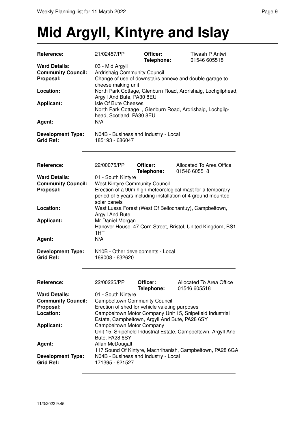## **Mid Argyll, Kintyre and Islay**

| Reference:                                   | 21/02457/PP                                             | Officer:<br>Telephone:                         | Tiwaah P Antwi<br>01546 605518                                 |
|----------------------------------------------|---------------------------------------------------------|------------------------------------------------|----------------------------------------------------------------|
| <b>Ward Details:</b>                         | 03 - Mid Argyll                                         |                                                |                                                                |
| <b>Community Council:</b>                    | Ardrishaig Community Council                            |                                                |                                                                |
| Proposal:                                    | Change of use of downstairs annexe and double garage to |                                                |                                                                |
|                                              | cheese making unit                                      |                                                |                                                                |
| Location:                                    |                                                         |                                                | North Park Cottage, Glenburn Road, Ardrishaig, Lochgilphead,   |
|                                              | Argyll And Bute, PA30 8EU                               |                                                |                                                                |
| <b>Applicant:</b>                            | Isle Of Bute Cheeses                                    |                                                |                                                                |
|                                              |                                                         |                                                | North Park Cottage, Glenburn Road, Ardrishaig, Lochgilp-       |
|                                              | head, Scotland, PA30 8EU                                |                                                |                                                                |
| Agent:                                       | N/A                                                     |                                                |                                                                |
|                                              |                                                         |                                                |                                                                |
| <b>Development Type:</b><br><b>Grid Ref:</b> | 185193 - 686047                                         | N04B - Business and Industry - Local           |                                                                |
|                                              |                                                         |                                                |                                                                |
| Reference:                                   | 22/00075/PP                                             | Officer:<br>Telephone:                         | Allocated To Area Office<br>01546 605518                       |
| <b>Ward Details:</b>                         | 01 - South Kintyre                                      |                                                |                                                                |
| <b>Community Council:</b>                    | <b>West Kintyre Community Council</b>                   |                                                |                                                                |
| Proposal:                                    |                                                         |                                                | Erection of a 90m high meteorological mast for a temporary     |
|                                              |                                                         |                                                | period of 5 years including installation of 4 ground mounted   |
|                                              | solar panels                                            |                                                |                                                                |
| Location:                                    |                                                         |                                                | West Lussa Forest (West Of Bellochantuy), Campbeltown,         |
|                                              | Argyll And Bute                                         |                                                |                                                                |
| <b>Applicant:</b>                            | Mr Daniel Morgan                                        |                                                |                                                                |
|                                              | 1HT                                                     |                                                | Hanover House, 47 Corn Street, Bristol, United Kingdom, BS1    |
| Agent:                                       | N/A                                                     |                                                |                                                                |
|                                              |                                                         |                                                |                                                                |
| <b>Development Type:</b><br><b>Grid Ref:</b> | 169008 - 632620                                         | N10B - Other developments - Local              |                                                                |
|                                              |                                                         |                                                |                                                                |
| Reference:                                   | 22/00225/PP                                             | Officer:<br>Telephone:                         | Allocated To Area Office<br>01546 605518                       |
| <b>Ward Details:</b>                         | 01 - South Kintyre                                      |                                                |                                                                |
| <b>Community Council:</b>                    | <b>Campbeltown Community Council</b>                    |                                                |                                                                |
| Proposal:                                    |                                                         | Erection of shed for vehicle valeting purposes |                                                                |
| Location:                                    |                                                         |                                                | Campbeltown Motor Company Unit 15, Snipefield Industrial       |
|                                              |                                                         | Estate, Campbeltown, Argyll And Bute, PA28 6SY |                                                                |
| <b>Applicant:</b>                            | Campbeltown Motor Company                               |                                                |                                                                |
|                                              |                                                         |                                                | Unit 15, Snipefield Industrial Estate, Campbeltown, Argyll And |
|                                              | Bute, PA28 6SY                                          |                                                |                                                                |
| Agent:                                       | Allan McDougall                                         |                                                |                                                                |
| <b>Development Type:</b><br><b>Grid Ref:</b> | 171395 - 621527                                         | N04B - Business and Industry - Local           | 117 Sound Of Kintyre, Machrihanish, Campbeltown, PA28 6GA      |
|                                              |                                                         |                                                |                                                                |